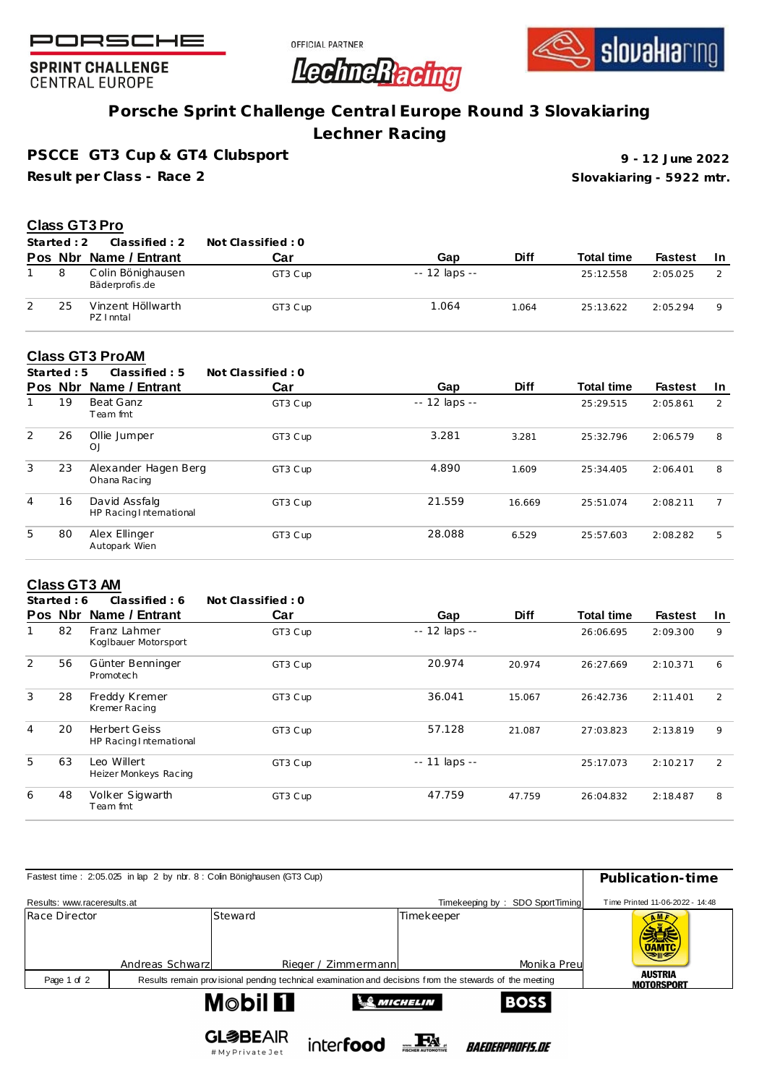





**SPRINT CHALLENGE CENTRAL EUROPE** 

# **Porsche Sprint Challenge Central Europe Round 3 Slovakiaring**

**Lechner Racing**

**PSCCE GT3 Cup & GT4 Clubsport**

**Result per Class - Race 2**

**Slovakiaring - 5922 mtr. 9 - 12 June 2022**

### **Class GT3 Pro**

| Started: 2 | Classified : 2                      | Not Classified : 0 |                |             |                   |                |     |
|------------|-------------------------------------|--------------------|----------------|-------------|-------------------|----------------|-----|
|            | Pos Nbr Name / Entrant              | Car                | Gap            | <b>Diff</b> | <b>Total time</b> | <b>Fastest</b> | -In |
|            | Colin Bönighausen<br>Bäderprofis.de | GT3 Cup            | $-12$ laps $-$ |             | 25:12.558         | 2:05.025       |     |
| 25         | Vinzent Höllwarth<br>PZ I nntal     | GT3 Cup            | 1.064          | 1.064       | 25:13.622         | 2:05.294       | Q   |

## **Class GT3 ProAM**

|                | Started: $5$ | Classified: 5                            | Not Classified: 0 |               |             |                   |                |     |
|----------------|--------------|------------------------------------------|-------------------|---------------|-------------|-------------------|----------------|-----|
|                | Pos Nbr      | Name / Entrant                           | Car               | Gap           | <b>Diff</b> | <b>Total time</b> | <b>Fastest</b> | -In |
|                | 19           | Beat Ganz<br>Team fmt                    | GT3 Cup           | -- 12 laps -- |             | 25:29.515         | 2:05.861       | 2   |
| 2              | 26           | Ollie Jumper<br>OJ                       | GT3 Cup           | 3.281         | 3.281       | 25:32.796         | 2:06.579       | 8   |
| 3              | 23           | Alexander Hagen Berg<br>Ohana Racing     | GT3 Cup           | 4.890         | 1.609       | 25:34.405         | 2:06.401       | 8   |
| $\overline{4}$ | 16           | David Assfalg<br>HP Racing International | GT3 Cup           | 21.559        | 16.669      | 25:51.074         | 2:08.211       |     |
| 5.             | 80           | Alex Ellinger<br>Autopark Wien           | GT3 C up          | 28.088        | 6.529       | 25:57.603         | 2:08.282       | 5   |

#### **Class GT3 AM**

|   | Started: 6 | Classified: 6                                   | Not Classified: 0 |                     |             |                   |                |    |
|---|------------|-------------------------------------------------|-------------------|---------------------|-------------|-------------------|----------------|----|
|   | Pos Nbr    | Name / Entrant                                  | Car               | Gap                 | <b>Diff</b> | <b>Total time</b> | <b>Fastest</b> | In |
|   | 82         | Franz Lahmer<br>Koglbauer Motorsport            | GT3 Cup           | -- 12 laps --       |             | 26:06.695         | 2:09.300       | 9  |
| 2 | 56         | Günter Benninger<br>Promotech                   | GT3 Cup           | 20.974              | 20.974      | 26:27.669         | 2:10.371       | 6  |
| 3 | 28         | Freddy Kremer<br>Kremer Racing                  | GT3 Cup           | 36.041              | 15.067      | 26:42.736         | 2:11.401       | 2  |
| 4 | 20         | <b>Herbert Geiss</b><br>HP Racing International | GT3 Cup           | 57.128              | 21.087      | 27:03.823         | 2:13.819       | 9  |
| 5 | 63         | Leo Willert<br>Heizer Monkeys Racing            | GT3 Cup           | $- - 11$ laps $- -$ |             | 25:17.073         | 2:10.217       | 2  |
| 6 | 48         | Volker Sigwarth<br>Team fmt                     | GT3 Cup           | 47.759              | 47.759      | 26:04.832         | 2:18.487       | 8  |
|   |            |                                                 |                   |                     |             |                   |                |    |

| Fastest time: 2:05.025 in lap 2 by nbr. 8 : Colin Bönighausen (GT3 Cup) | Publication-time                    |                                                                                                         |                                 |                                       |  |
|-------------------------------------------------------------------------|-------------------------------------|---------------------------------------------------------------------------------------------------------|---------------------------------|---------------------------------------|--|
| Results: www.raceresults.at                                             |                                     |                                                                                                         | Timekeeping by: SDO SportTiming | Time Printed 11-06-2022 - 14:48       |  |
| Race Director                                                           | Steward<br>Andreas Schwarz          | Timekeeper<br>Monika Preu<br>Rieger / Zimmermann                                                        |                                 | <b>OAMTC</b><br>マルモ<br><b>AUSTRIA</b> |  |
| Page 1 of 2                                                             |                                     | Results remain provisional pending technical examination and decisions from the stewards of the meeting |                                 | <b>MOTORSPORT</b>                     |  |
|                                                                         | <b>Mobil Fl</b>                     | MICHELIN                                                                                                | <b>BOSS</b>                     |                                       |  |
|                                                                         | <b>GL参BEAIR</b><br># My Drivate Jet | interfood                                                                                               | <i>BAEDERPROFIS.DE</i>          |                                       |  |

#MyPrivateJet